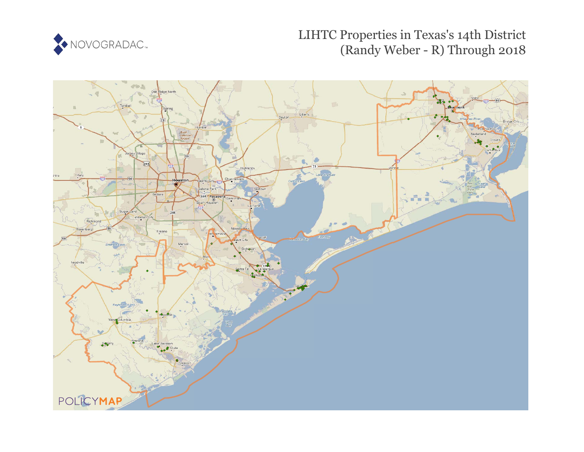

# LIHTC Properties in Texas's 14th District (Randy Weber - R) Through 2018

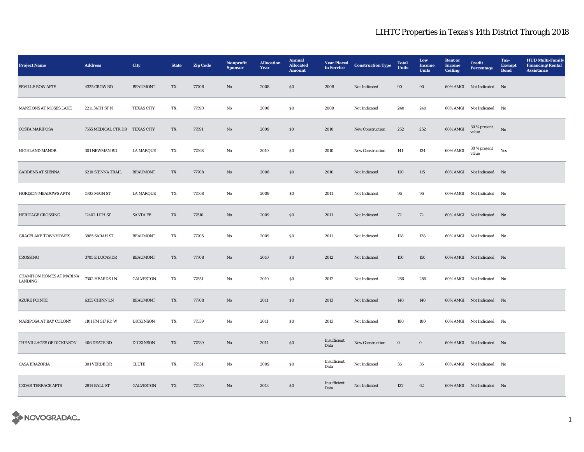| <b>Project Name</b>                 | <b>Address</b>                 | <b>City</b>       | <b>State</b>             | <b>Zip Code</b> | Nonprofit<br><b>Sponsor</b> | <b>Allocation</b><br>Year | <b>Annual</b><br><b>Allocated</b><br><b>Amount</b> | <b>Year Placed</b><br>in Service | <b>Construction Type</b>   | <b>Total</b><br><b>Units</b> | Low<br>Income<br><b>Units</b> | <b>Rent</b> or<br>Income<br><b>Ceiling</b> | <b>Credit</b><br><b>Percentage</b> | Tax-<br><b>Exempt</b><br><b>Bond</b> | <b>HUD Multi-Family</b><br><b>Financing/Rental</b><br><b>Assistance</b> |
|-------------------------------------|--------------------------------|-------------------|--------------------------|-----------------|-----------------------------|---------------------------|----------------------------------------------------|----------------------------------|----------------------------|------------------------------|-------------------------------|--------------------------------------------|------------------------------------|--------------------------------------|-------------------------------------------------------------------------|
| <b>SEVILLE ROW APTS</b>             | 4325 CROW RD                   | <b>BEAUMONT</b>   | TX                       | 77706           | No                          | 2008                      | \$0\$                                              | 2008                             | Not Indicated              | $90\,$                       | 90                            |                                            | 60% AMGI Not Indicated No          |                                      |                                                                         |
| MANSIONS AT MOSES LAKE              | 2211 34TH ST N                 | <b>TEXAS CITY</b> | TX                       | 77590           | No                          | 2008                      | S <sub>0</sub>                                     | 2009                             | <b>Not Indicated</b>       | 240                          | 240                           |                                            | 60% AMGI Not Indicated No          |                                      |                                                                         |
| <b>COSTA MARIPOSA</b>               | 7555 MEDICAL CTR DR TEXAS CITY |                   | TX                       | 77591           | No                          | 2009                      | S <sub>0</sub>                                     | 2010                             | New Construction           | 252                          | 252                           | 60% AMGI                                   | 30 % present<br>value              | No                                   |                                                                         |
| <b>HIGHLAND MANOR</b>               | 301 NEWMAN RD                  | <b>LA MARQUE</b>  | TX                       | 77568           | No                          | 2010                      | S <sub>0</sub>                                     | 2010                             | <b>New Construction</b>    | 141                          | 134                           | 60% AMGI                                   | 30 % present<br>value              | Yes                                  |                                                                         |
| <b>GARDENS AT SIENNA</b>            | 6210 SIENNA TRAIL              | <b>BEAUMONT</b>   | TX                       | 77708           | No                          | 2008                      | \$0\$                                              | 2010                             | Not Indicated              | 120                          | 115                           |                                            | 60% AMGI Not Indicated No          |                                      |                                                                         |
| <b>HORIZON MEADOWS APTS</b>         | 1903 MAIN ST                   | <b>LA MARQUE</b>  | TX                       | 77568           | $\rm No$                    | 2009                      | $\boldsymbol{\mathsf{S}}\boldsymbol{\mathsf{0}}$   | 2011                             | Not Indicated              | 96                           | 96                            |                                            | 60% AMGI Not Indicated No          |                                      |                                                                         |
| HERITAGE CROSSING                   | 12402 11TH ST                  | <b>SANTA FE</b>   | TX                       | 77510           | No                          | 2009                      | \$0\$                                              | 2011                             | Not Indicated              | 72                           | 72                            |                                            | 60% AMGI Not Indicated No          |                                      |                                                                         |
| <b>GRACELAKE TOWNHOMES</b>          | 3985 SARAH ST                  | <b>BEAUMONT</b>   | TX                       | 77705           | No                          | 2009                      | <b>SO</b>                                          | 2011                             | Not Indicated              | 128                          | 128                           |                                            | 60% AMGI Not Indicated No          |                                      |                                                                         |
| CROSSING                            | 3705 E LUCAS DR                | <b>BEAUMONT</b>   | TX                       | 77708           | No                          | 2010                      | $\$0$                                              | 2012                             | Not Indicated              | 150                          | 150                           |                                            | 60% AMGI Not Indicated No          |                                      |                                                                         |
| CHAMPION HOMES AT MARINA<br>LANDING | 7302 HEARDS LN                 | <b>GALVESTON</b>  | TX                       | 77551           | No                          | 2010                      | \$0\$                                              | 2012                             | Not Indicated              | 256                          | 256                           |                                            | 60% AMGI Not Indicated No          |                                      |                                                                         |
| <b>AZURE POINTE</b>                 | 6355 CHINN LN                  | <b>BEAUMONT</b>   | TX                       | 77708           | No                          | 2011                      | \$0\$                                              | 2013                             | Not Indicated              | 140                          | 140                           |                                            | 60% AMGI Not Indicated No          |                                      |                                                                         |
| MARIPOSA AT BAY COLONY              | 1101 FM 517 RD W               | <b>DICKINSON</b>  | TX                       | 77539           | No                          | 2011                      | <b>SO</b>                                          | 2013                             | Not Indicated              | 180                          | 180                           |                                            | 60% AMGI Not Indicated No          |                                      |                                                                         |
| THE VILLAGES OF DICKINSON           | 406 DEATS RD                   | <b>DICKINSON</b>  | $\mathcal{T}\mathcal{X}$ | 77539           | No                          | 2014                      | $\$0$                                              | Insufficient<br>Data             | New Construction           | $\mathbf 0$                  | $\mathbf 0$                   |                                            | 60% AMGI Not Indicated No          |                                      |                                                                         |
| <b>CASA BRAZORIA</b>                | 301 VERDE DR                   | CLUTE             | TX                       | 77531           | No                          | 2009                      | S <sub>0</sub>                                     | Insufficient<br>Data             | $\hbox{\bf Not Indicated}$ | 36                           | 36                            |                                            | 60% AMGI Not Indicated No          |                                      |                                                                         |
| <b>CEDAR TERRACE APTS</b>           | 2914 BALL ST                   | <b>GALVESTON</b>  | TX                       | 77550           | No                          | 2013                      | \$0\$                                              | Insufficient<br>Data             | Not Indicated              | 122                          | 62                            |                                            | 60% AMGI Not Indicated No          |                                      |                                                                         |

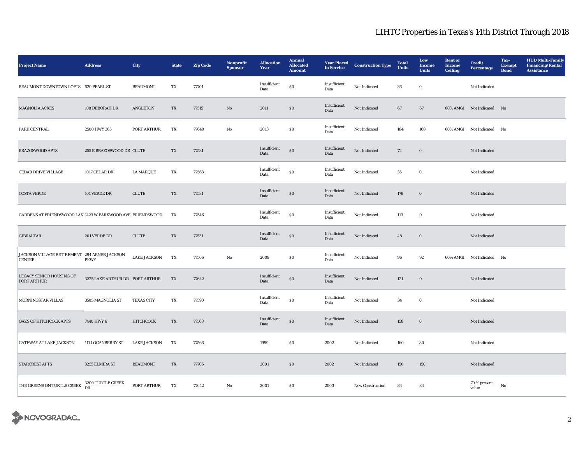| <b>Project Name</b>                                           | <b>Address</b>                  | City                | <b>State</b>             | <b>Zip Code</b> | Nonprofit<br><b>Sponsor</b> | <b>Allocation</b><br>Year | <b>Annual</b><br><b>Allocated</b><br><b>Amount</b> | <b>Year Placed</b><br>in Service | <b>Construction Type</b> | <b>Total</b><br><b>Units</b> | Low<br>Income<br><b>Units</b> | <b>Rent</b> or<br><b>Income</b><br><b>Ceiling</b> | <b>Credit</b><br><b>Percentage</b> | Tax-<br><b>Exempt</b><br><b>Bond</b> | <b>HUD Multi-Family</b><br><b>Financing/Rental</b><br><b>Assistance</b> |
|---------------------------------------------------------------|---------------------------------|---------------------|--------------------------|-----------------|-----------------------------|---------------------------|----------------------------------------------------|----------------------------------|--------------------------|------------------------------|-------------------------------|---------------------------------------------------|------------------------------------|--------------------------------------|-------------------------------------------------------------------------|
| BEAUMONT DOWNTOWN LOFTS 620 PEARL ST                          |                                 | <b>BEAUMONT</b>     | TX                       | 77701           |                             | Insufficient<br>Data      | $\$0$                                              | Insufficient<br>Data             | Not Indicated            | 36                           | $\bf{0}$                      |                                                   | Not Indicated                      |                                      |                                                                         |
| <b>MAGNOLIA ACRES</b>                                         | 108 DEBORAH DR                  | ANGLETON            | TX                       | 77515           | No                          | 2011                      | \$0\$                                              | Insufficient<br>Data             | Not Indicated            | 67                           | 67                            |                                                   | 60% AMGI Not Indicated No          |                                      |                                                                         |
| PARK CENTRAL                                                  | 2500 HWY 365                    | PORT ARTHUR         | TX                       | 77640           | No                          | 2013                      | $\$0$                                              | Insufficient<br>Data             | Not Indicated            | 184                          | 168                           |                                                   | 60% AMGI Not Indicated No          |                                      |                                                                         |
| <b>BRAZOSWOOD APTS</b>                                        | 255 E BRAZOSWOOD DR CLUTE       |                     | TX                       | 77531           |                             | Insufficient<br>Data      | $\$0$                                              | Insufficient<br>Data             | Not Indicated            | 72                           | $\boldsymbol{0}$              |                                                   | Not Indicated                      |                                      |                                                                         |
| <b>CEDAR DRIVE VILLAGE</b>                                    | 1017 CEDAR DR                   | <b>LA MARQUE</b>    | TX                       | 77568           |                             | Insufficient<br>Data      | $\$0$                                              | Insufficient<br>Data             | Not Indicated            | 35                           | $\bf{0}$                      |                                                   | Not Indicated                      |                                      |                                                                         |
| <b>COSTA VERDE</b>                                            | 101 VERDE DR                    | ${\rm CLUTE}$       | $\mathcal{T}\mathcal{X}$ | 77531           |                             | Insufficient<br>Data      | $\$0$                                              | Insufficient<br>Data             | Not Indicated            | 179                          | $\boldsymbol{0}$              |                                                   | Not Indicated                      |                                      |                                                                         |
| GARDENS AT FRIENDSWOOD LAK 1423 W PARKWOOD AVE FRIENDSWOOD    |                                 |                     | TX                       | 77546           |                             | Insufficient<br>Data      | SO <sub>2</sub>                                    | Insufficient<br>Data             | Not Indicated            | 113                          | $\bf{0}$                      |                                                   | Not Indicated                      |                                      |                                                                         |
| <b>GIBRALTAR</b>                                              | 201 VERDE DR                    | <b>CLUTE</b>        | TX                       | 77531           |                             | Insufficient<br>Data      | $\boldsymbol{\mathsf{S}}\boldsymbol{\mathsf{O}}$   | Insufficient<br>Data             | Not Indicated            | 48                           | $\boldsymbol{0}$              |                                                   | Not Indicated                      |                                      |                                                                         |
| JACKSON VILLAGE RETIREMENT 294 ABNER JACKSON<br><b>CENTER</b> | <b>PKWY</b>                     | <b>LAKE JACKSON</b> | TX                       | 77566           | No                          | 2008                      | $\$0$                                              | Insufficient<br>Data             | Not Indicated            | 96                           | 92                            |                                                   | 60% AMGI Not Indicated             | No                                   |                                                                         |
| LEGACY SENIOR HOUSING OF<br>PORT ARTHUR                       | 3225 LAKE ARTHUR DR PORT ARTHUR |                     | TX                       | 77642           |                             | Insufficient<br>Data      | \$0                                                | Insufficient<br>Data             | Not Indicated            | 121                          | $\bf{0}$                      |                                                   | Not Indicated                      |                                      |                                                                         |
| MORNINGSTAR VILLAS                                            | 3505 MAGNOLIA ST                | <b>TEXAS CITY</b>   | TX                       | 77590           |                             | Insufficient<br>Data      | ${\bf S0}$                                         | Insufficient<br>Data             | Not Indicated            | 34                           | $\bf{0}$                      |                                                   | Not Indicated                      |                                      |                                                                         |
| OAKS OF HITCHCOCK APTS                                        | 7440 HWY 6                      | HITCHCOCK           | TX                       | 77563           |                             | Insufficient<br>Data      | $\boldsymbol{\mathsf{S}}\boldsymbol{\mathsf{O}}$   | Insufficient<br>Data             | Not Indicated            | 158                          | $\boldsymbol{0}$              |                                                   | Not Indicated                      |                                      |                                                                         |
| <b>GATEWAY AT LAKE JACKSON</b>                                | 111 LOGANBERRY ST               | <b>LAKE JACKSON</b> | TX                       | 77566           |                             | 1999                      | ${\bf S0}$                                         | 2002                             | Not Indicated            | 160                          | 80                            |                                                   | Not Indicated                      |                                      |                                                                         |
| <b>STARCREST APTS</b>                                         | 3255 ELMIRA ST                  | <b>BEAUMONT</b>     | TX                       | 77705           |                             | 2001                      | S <sub>0</sub>                                     | 2002                             | Not Indicated            | 150                          | 150                           |                                                   | Not Indicated                      |                                      |                                                                         |
| THE GREENS ON TURTLE CREEK                                    | 3200 TURTLE CREEK<br><b>DR</b>  | PORT ARTHUR         | TX                       | 77642           | No                          | 2001                      | SO.                                                | 2003                             | <b>New Construction</b>  | 84                           | 84                            |                                                   | 70 % present<br>value              | No                                   |                                                                         |

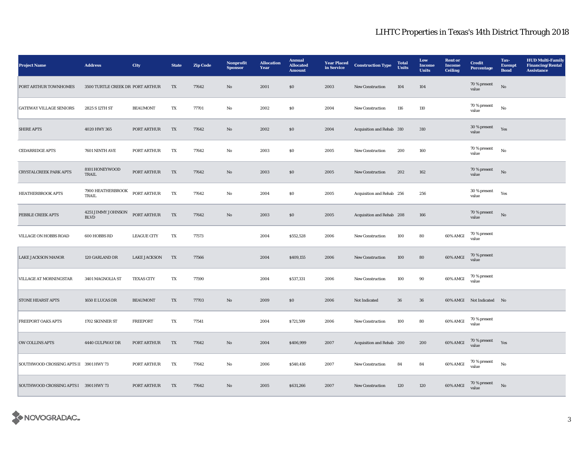| <b>Project Name</b>                    | <b>Address</b>                    | City                | <b>State</b> | <b>Zip Code</b> | Nonprofit<br><b>Sponsor</b> | <b>Allocation</b><br>Year | <b>Annual</b><br><b>Allocated</b><br><b>Amount</b> | <b>Year Placed</b><br>in Service | <b>Construction Type</b>  | <b>Total</b><br><b>Units</b> | Low<br><b>Income</b><br><b>Units</b> | <b>Rent or</b><br><b>Income</b><br>Ceiling | <b>Credit</b><br><b>Percentage</b> | Tax-<br><b>Exempt</b><br><b>Bond</b> | <b>HUD Multi-Family</b><br><b>Financing/Rental</b><br><b>Assistance</b> |
|----------------------------------------|-----------------------------------|---------------------|--------------|-----------------|-----------------------------|---------------------------|----------------------------------------------------|----------------------------------|---------------------------|------------------------------|--------------------------------------|--------------------------------------------|------------------------------------|--------------------------------------|-------------------------------------------------------------------------|
| PORT ARTHUR TOWNHOMES                  | 3500 TURTLE CREEK DR PORT ARTHUR  |                     | TX           | 77642           | $\mathbf{No}$               | 2001                      | $\$0$                                              | 2003                             | New Construction          | 104                          | 104                                  |                                            | 70 % present<br>value              | $_{\rm No}$                          |                                                                         |
| <b>GATEWAY VILLAGE SENIORS</b>         | 2825 S 12TH ST                    | <b>BEAUMONT</b>     | TX           | 77701           | $\rm No$                    | 2002                      | $\$0$                                              | 2004                             | New Construction          | 116                          | 110                                  |                                            | 70 % present<br>value              | $_{\rm No}$                          |                                                                         |
| <b>SHIRE APTS</b>                      | 4020 HWY 365                      | PORT ARTHUR         | TX           | 77642           | No                          | 2002                      | \$0                                                | 2004                             | Acquisition and Rehab 310 |                              | 310                                  |                                            | 30 % present<br>value              | Yes                                  |                                                                         |
| <b>CEDARRIDGE APTS</b>                 | 7601 NINTH AVE                    | PORT ARTHUR         | TX           | 77642           | No                          | 2003                      | \$0\$                                              | 2005                             | <b>New Construction</b>   | 200                          | 160                                  |                                            | 70 % present<br>value              | No                                   |                                                                         |
| <b>CRYSTALCREEK PARK APTS</b>          | 8101 HONEYWOOD<br>TRAIL           | PORT ARTHUR         | TX           | 77642           | $\mathbf{N}\mathbf{o}$      | 2003                      | $\$0$                                              | 2005                             | New Construction          | 202                          | 162                                  |                                            | 70 % present<br>value              | $_{\rm No}$                          |                                                                         |
| <b>HEATHERBROOK APTS</b>               | 7900 HEATHERBROOK<br>TRAIL        | PORT ARTHUR         | TX           | 77642           | No                          | 2004                      | <b>SO</b>                                          | 2005                             | Acquisition and Rehab 256 |                              | 256                                  |                                            | 30 % present<br>value              | Yes                                  |                                                                         |
| PEBBLE CREEK APTS                      | 4251 JIMMY JOHNSON<br><b>BLVD</b> | PORT ARTHUR         | TX           | 77642           | $\mathbf{N}\mathbf{o}$      | 2003                      | \$0                                                | 2005                             | Acquisition and Rehab 208 |                              | 166                                  |                                            | 70 % present<br>value              | $_{\rm No}$                          |                                                                         |
| VILLAGE ON HOBBS ROAD                  | 600 HOBBS RD                      | <b>LEAGUE CITY</b>  | TX           | 77573           |                             | 2004                      | \$552,528                                          | 2006                             | New Construction          | 100                          | 80                                   | 60% AMGI                                   | 70 % present<br>value              |                                      |                                                                         |
| <b>LAKE JACKSON MANOR</b>              | 120 GARLAND DR                    | <b>LAKE JACKSON</b> | TX           | 77566           |                             | 2004                      | \$409,155                                          | 2006                             | New Construction          | 100                          | 80                                   | 60% AMGI                                   | 70 % present<br>value              |                                      |                                                                         |
| VILLAGE AT MORNINGSTAR                 | 3401 MAGNOLIA ST                  | <b>TEXAS CITY</b>   | TX           | 77590           |                             | 2004                      | \$537,331                                          | 2006                             | <b>New Construction</b>   | 100                          | 90                                   | 60% AMGI                                   | 70 % present<br>value              |                                      |                                                                         |
| <b>STONE HEARST APTS</b>               | 1650 E LUCAS DR                   | <b>BEAUMONT</b>     | TX           | 77703           | $\mathbf{N}\mathbf{o}$      | 2009                      | \$0                                                | 2006                             | Not Indicated             | 36                           | 36                                   |                                            | 60% AMGI Not Indicated No          |                                      |                                                                         |
| <b>FREEPORT OAKS APTS</b>              | 1702 SKINNER ST                   | <b>FREEPORT</b>     | TX           | 77541           |                             | 2004                      | \$721,599                                          | 2006                             | New Construction          | 100                          | 80                                   | 60% AMGI                                   | 70 % present<br>value              |                                      |                                                                         |
| <b>OW COLLINS APTS</b>                 | 4440 GULFWAY DR                   | PORT ARTHUR         | TX           | 77642           | No                          | 2004                      | \$406,999                                          | 2007                             | Acquisition and Rehab 200 |                              | 200                                  | 60% AMGI                                   | 70 % present<br>value              | Yes                                  |                                                                         |
| SOUTHWOOD CROSSING APTS II 3901 HWY 73 |                                   | PORT ARTHUR         | TX           | 77642           | $_{\rm No}$                 | 2006                      | \$540,416                                          | 2007                             | New Construction          | 84                           | 84                                   | 60% AMGI                                   | 70 % present<br>value              | $_{\rm No}$                          |                                                                         |
| SOUTHWOOD CROSSING APTS I 3901 HWY 73  |                                   | PORT ARTHUR         | TX           | 77642           | $\mathbf{No}$               | 2005                      | \$631,266                                          | 2007                             | New Construction          | 120                          | 120                                  | $60\%$ AMGI                                | $70$ % present<br>value            | $_{\rm No}$                          |                                                                         |

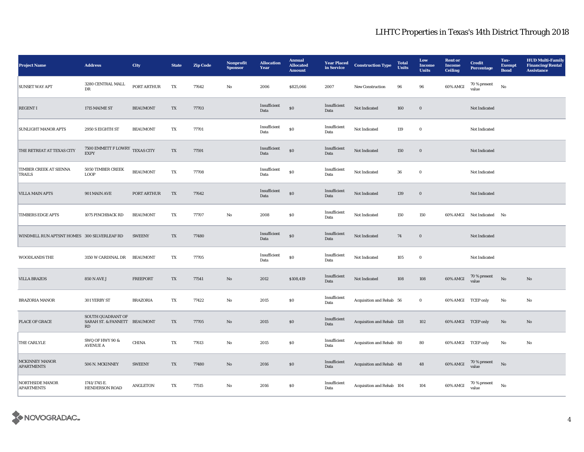| <b>Project Name</b>                         | <b>Address</b>                                          | City            | <b>State</b>             | <b>Zip Code</b> | Nonprofit<br><b>Sponsor</b> | <b>Allocation</b><br>Year | <b>Annual</b><br><b>Allocated</b><br><b>Amount</b> | <b>Year Placed</b><br>in Service | <b>Construction Type</b>  | <b>Total</b><br>Units | Low<br>Income<br><b>Units</b> | <b>Rent</b> or<br><b>Income</b><br><b>Ceiling</b> | <b>Credit</b><br><b>Percentage</b> | Tax-<br><b>Exempt</b><br><b>Bond</b> | <b>HUD Multi-Family</b><br><b>Financing/Rental</b><br><b>Assistance</b> |
|---------------------------------------------|---------------------------------------------------------|-----------------|--------------------------|-----------------|-----------------------------|---------------------------|----------------------------------------------------|----------------------------------|---------------------------|-----------------------|-------------------------------|---------------------------------------------------|------------------------------------|--------------------------------------|-------------------------------------------------------------------------|
| <b>SUNSET WAY APT</b>                       | 3280 CENTRAL MALL<br>DR                                 | PORT ARTHUR     | TX                       | 77642           | No                          | 2006                      | \$825,066                                          | 2007                             | New Construction          | 96                    | 96                            | 60% AMGI                                          | 70 % present<br>value              | No                                   |                                                                         |
| <b>REGENT I</b>                             | 1715 MAIME ST                                           | <b>BEAUMONT</b> | TX                       | 77703           |                             | Insufficient<br>Data      | \$0                                                | Insufficient<br>Data             | Not Indicated             | 160                   | $\boldsymbol{0}$              |                                                   | Not Indicated                      |                                      |                                                                         |
| <b>SUNLIGHT MANOR APTS</b>                  | 2950 S EIGHTH ST                                        | <b>BEAUMONT</b> | TX                       | 77701           |                             | Insufficient<br>Data      | $\$0$                                              | Insufficient<br>Data             | Not Indicated             | 119                   | $\bf{0}$                      |                                                   | Not Indicated                      |                                      |                                                                         |
| THE RETREAT AT TEXAS CITY                   | 7500 EMMETT F LOWRY TEXAS CITY<br><b>EXPY</b>           |                 | $\mathcal{T}\mathcal{X}$ | 77591           |                             | Insufficient<br>Data      | $\$0$                                              | Insufficient<br>Data             | Not Indicated             | 150                   | $\mathbf 0$                   |                                                   | Not Indicated                      |                                      |                                                                         |
| <b>TIMBER CREEK AT SIENNA</b><br>TRAILS     | 5050 TIMBER CREEK<br><b>LOOP</b>                        | <b>BEAUMONT</b> | TX                       | 77708           |                             | Insufficient<br>Data      | $\$0$                                              | Insufficient<br>Data             | Not Indicated             | 36                    | $\mathbf 0$                   |                                                   | Not Indicated                      |                                      |                                                                         |
| <b>VILLA MAIN APTS</b>                      | 901 MAIN AVE                                            | PORT ARTHUR     | TX                       | 77642           |                             | Insufficient<br>Data      | $\$0$                                              | Insufficient<br>Data             | Not Indicated             | 139                   | $\bf{0}$                      |                                                   | Not Indicated                      |                                      |                                                                         |
| <b>TIMBERS EDGE APTS</b>                    | 1075 PINCHBACK RD                                       | <b>BEAUMONT</b> | TX                       | 77707           | No                          | 2008                      | $\$0$                                              | Insufficient<br>Data             | Not Indicated             | 150                   | 150                           |                                                   | 60% AMGI Not Indicated No          |                                      |                                                                         |
| WINDMILL RUN APTSNT HOMES 300 SILVERLEAF RD |                                                         | <b>SWEENY</b>   | TX                       | 77480           |                             | Insufficient<br>Data      | $\$0$                                              | Insufficient<br>Data             | Not Indicated             | 74                    | $\bf{0}$                      |                                                   | Not Indicated                      |                                      |                                                                         |
| <b>WOODLANDS THE</b>                        | 3150 W CARDINAL DR                                      | <b>BEAUMONT</b> | TX                       | 77705           |                             | Insufficient<br>Data      | $\$0$                                              | Insufficient<br>Data             | Not Indicated             | 105                   | $\bf{0}$                      |                                                   | Not Indicated                      |                                      |                                                                         |
| <b>VILLA BRAZOS</b>                         | <b>850 N AVE J</b>                                      | <b>FREEPORT</b> | TX                       | 77541           | $\mathbf{N}\mathbf{o}$      | 2012                      | \$108,419                                          | Insufficient<br>Data             | Not Indicated             | 108                   | 108                           | 60% AMGI                                          | $70\,\%$ present<br>value          | $_{\rm No}$                          | $\mathbf{No}$                                                           |
| <b>BRAZORIA MANOR</b>                       | 301 YERBY ST                                            | <b>BRAZORIA</b> | TX                       | 77422           | No                          | 2015                      | ${\bf S0}$                                         | Insufficient<br>Data             | Acquisition and Rehab 56  |                       | $\mathbf 0$                   | 60% AMGI TCEP only                                |                                    | No                                   | No                                                                      |
| PLACE OF GRACE                              | SOUTH QUADRANT OF<br>SARAH ST. & FANNETT BEAUMONT<br>RD |                 | TX                       | 77705           | No                          | 2015                      | $\boldsymbol{\mathsf{S}}\boldsymbol{\mathsf{0}}$   | Insufficient<br>Data             | Acquisition and Rehab 128 |                       | 102                           | 60% AMGI TCEP only                                |                                    | No                                   | $\rm No$                                                                |
| THE CARLYLE                                 | SWQ OF HWY 90 &<br><b>AVENUE A</b>                      | <b>CHINA</b>    | TX                       | 77613           | No                          | 2015                      | \$0\$                                              | Insufficient<br>Data             | Acquisition and Rehab 80  |                       | 80                            | 60% AMGI TCEP only                                |                                    | No                                   | No                                                                      |
| MCKINNEY MANOR<br><b>APARTMENTS</b>         | 506 N. MCKINNEY                                         | <b>SWEENY</b>   | TX                       | 77480           | No                          | 2016                      | $\boldsymbol{\mathsf{S}}\boldsymbol{\mathsf{0}}$   | Insufficient<br>Data             | Acquisition and Rehab 48  |                       | 48                            | 60% AMGI                                          | 70 % present<br>value              | $\rm No$                             |                                                                         |
| <b>NORTHSIDE MANOR</b><br><b>APARTMENTS</b> | 1741/1745 E.<br><b>HENDERSON ROAD</b>                   | <b>ANGLETON</b> | TX                       | 77515           | No                          | 2016                      | \$0\$                                              | Insufficient<br>Data             | Acquisition and Rehab 104 |                       | 104                           | 60% AMGI                                          | $70$ % present<br>value            | No                                   |                                                                         |

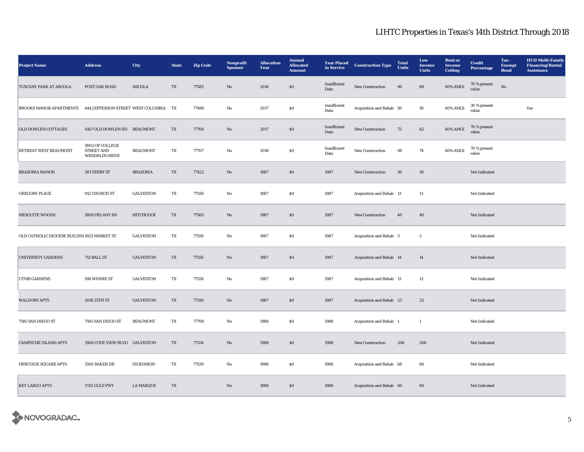| <b>Project Name</b>                         | <b>Address</b>                                               | City             | <b>State</b> | <b>Zip Code</b> | Nonprofit<br><b>Sponsor</b> | <b>Allocation</b><br>Year | <b>Annual</b><br><b>Allocated</b><br><b>Amount</b> | <b>Year Placed</b><br>in Service | <b>Construction Type</b> | <b>Total</b><br>Units | Low<br>Income<br><b>Units</b> | <b>Rent</b> or<br><b>Income</b><br><b>Ceiling</b> | <b>Credit</b><br><b>Percentage</b> | Tax-<br><b>Exempt</b><br><b>Bond</b> | <b>HUD Multi-Family</b><br><b>Financing/Rental</b><br><b>Assistance</b> |
|---------------------------------------------|--------------------------------------------------------------|------------------|--------------|-----------------|-----------------------------|---------------------------|----------------------------------------------------|----------------------------------|--------------------------|-----------------------|-------------------------------|---------------------------------------------------|------------------------------------|--------------------------------------|-------------------------------------------------------------------------|
| TUSCANY PARK AT ARCOLA                      | POST OAK ROAD                                                | ARCOLA           | TX           | 77583           | No                          | 2016                      | \$0\$                                              | Insufficient<br>Data             | New Construction         | 96                    | 88                            | 60% AMGI                                          | 70 % present<br>value              | No                                   |                                                                         |
| <b>BROOKS MANOR APARTMENTS</b>              | 444 JEFFERSON STREET WEST COLUMBIA                           |                  | TX           | 77486           | No                          | 2017                      | ${\bf S0}$                                         | Insufficient<br>Data             | Acquisition and Rehab 50 |                       | 50                            | 60% AMGI                                          | 30 % present<br>value              |                                      | Yes                                                                     |
| OLD DOWLEN COTTAGES                         | 4167 OLD DOWLEN RD. BEAUMONT                                 |                  | TX           | 77706           | No                          | 2017                      | \$0\$                                              | Insufficient<br>Data             | <b>New Construction</b>  | 72                    | 62                            | 60% AMGI                                          | 70 % present<br>value              |                                      |                                                                         |
| RETREAT WEST BEAUMONT                       | SWQ OF COLLEGE<br><b>STREET AND</b><br><b>WENDELIN DRIVE</b> | <b>BEAUMONT</b>  | TX           | 77707           | No                          | 2018                      | $\$0$                                              | Insufficient<br>Data             | New Construction         | 98                    | 74                            | 60% AMGI                                          | 70 % present<br>value              |                                      |                                                                         |
| <b>BRAZORIA MANOR</b>                       | 301 YERBY ST                                                 | <b>BRAZORIA</b>  | TX           | 77422           | $\mathbf{N}\mathbf{o}$      | 1987                      | $\boldsymbol{\mathsf{S}}\boldsymbol{\mathsf{O}}$   | 1987                             | New Construction         | 56                    | 56                            |                                                   | Not Indicated                      |                                      |                                                                         |
| <b>GREGORY PLACE</b>                        | 912 CHURCH ST                                                | <b>GALVESTON</b> | TX           | 77550           | No                          | 1987                      | $\$0$                                              | 1987                             | Acquisition and Rehab 13 |                       | 13                            |                                                   | Not Indicated                      |                                      |                                                                         |
| MESQUITE WOODS                              | 5809 DELANY RD                                               | HITCHCOCK        | TX           | 77563           | $\mathbf{N}\mathbf{o}$      | 1987                      | \$0\$                                              | 1987                             | New Construction         | 40                    | 40                            |                                                   | Not Indicated                      |                                      |                                                                         |
| OLD CATHOLIC DIOCESE BUILDIN 1923 MARKET ST |                                                              | <b>GALVESTON</b> | TX           | 77550           | $_{\rm No}$                 | 1987                      | ${\bf S0}$                                         | 1987                             | Acquisition and Rehab 5  |                       | $\overline{5}$                |                                                   | Not Indicated                      |                                      |                                                                         |
| <b>UNIVERSITY GARDENS</b>                   | 712 BALL ST                                                  | <b>GALVESTON</b> | TX           | 77550           | No                          | 1987                      | $\boldsymbol{\mathsf{S}}\boldsymbol{\mathsf{0}}$   | 1987                             | Acquisition and Rehab 14 |                       | 14                            |                                                   | Not Indicated                      |                                      |                                                                         |
| <b>UTMB GARDENS</b>                         | 918 WINNIE ST                                                | <b>GALVESTON</b> | TX           | 77550           | No                          | 1987                      | \$0\$                                              | 1987                             | Acquisition and Rehab 13 |                       | 13                            |                                                   | Not Indicated                      |                                      |                                                                         |
| <b>WALDORF APTS</b>                         | 2016 25TH ST                                                 | <b>GALVESTON</b> | TX           | 77550           | $\mathbf{N}\mathbf{o}$      | 1987                      | \$0\$                                              | 1987                             | Acquisition and Rehab 23 |                       | 23                            |                                                   | Not Indicated                      |                                      |                                                                         |
| 7585 SAN DIEGO ST                           | 7585 SAN DIEGO ST                                            | <b>BEAUMONT</b>  | TX           | 77708           | No                          | 1988                      | $\$0$                                              | 1988                             | Acquisition and Rehab 1  |                       | $\mathbf{1}$                  |                                                   | Not Indicated                      |                                      |                                                                         |
| <b>CAMPECHE ISLAND APTS</b>                 | 3506 COVE VIEW BLVD GALVESTON                                |                  | TX           | 77554           | $\rm No$                    | 1988                      | $\boldsymbol{\mathsf{S}}\boldsymbol{\mathsf{O}}$   | 1988                             | New Construction         | 208                   | 208                           |                                                   | Not Indicated                      |                                      |                                                                         |
| HERITAGE SQUARE APTS                        | 3500 BAKER DR                                                | <b>DICKINSON</b> | TX           | 77539           | No                          | 1988                      | $\$0$                                              | 1988                             | Acquisition and Rehab 68 |                       | 68                            |                                                   | Not Indicated                      |                                      |                                                                         |
| <b>KEY LARGO APTS</b>                       | 1720 GULF FWY                                                | <b>LA MARQUE</b> | TX           |                 | No                          | 1988                      | \$0\$                                              | 1988                             | Acquisition and Rehab 60 |                       | 60                            |                                                   | Not Indicated                      |                                      |                                                                         |

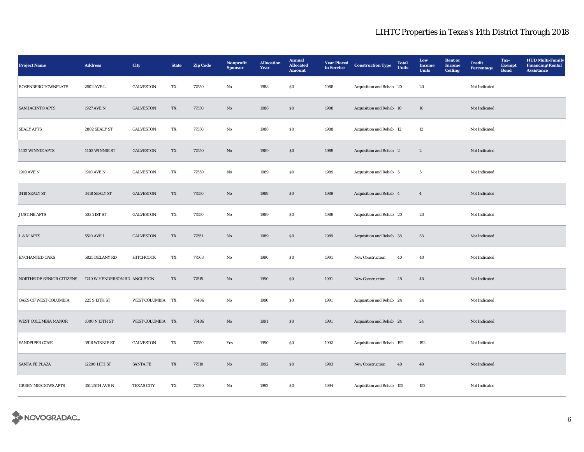| <b>Project Name</b>        | <b>Address</b>               | <b>City</b>       | <b>State</b> | <b>Zip Code</b> | Nonprofit<br><b>Sponsor</b> | <b>Allocation</b><br>Year | <b>Annual</b><br><b>Allocated</b><br><b>Amount</b> | <b>Year Placed</b><br>in Service | <b>Construction Type</b>  | <b>Total</b><br><b>Units</b> | Low<br><b>Income</b><br><b>Units</b> | <b>Rent</b> or<br><b>Income</b><br><b>Ceiling</b> | <b>Credit</b><br>Percentage | Tax-<br><b>Exempt</b><br><b>Bond</b> | <b>HUD Multi-Family</b><br><b>Financing/Rental</b><br>Assistance |
|----------------------------|------------------------------|-------------------|--------------|-----------------|-----------------------------|---------------------------|----------------------------------------------------|----------------------------------|---------------------------|------------------------------|--------------------------------------|---------------------------------------------------|-----------------------------|--------------------------------------|------------------------------------------------------------------|
| <b>ROSENBERG TOWNFLATS</b> | 2502 AVE L                   | <b>GALVESTON</b>  | TX           | 77550           | No                          | 1988                      | \$0                                                | 1988                             | Acquisition and Rehab 20  |                              | 20                                   |                                                   | Not Indicated               |                                      |                                                                  |
| <b>SAN JACINTO APTS</b>    | 1927 AVE N                   | <b>GALVESTON</b>  | TX           | 77550           | $\mathbf{No}$               | 1988                      | \$0                                                | 1988                             | Acquisition and Rehab 10  |                              | 10                                   |                                                   | Not Indicated               |                                      |                                                                  |
| <b>SEALY APTS</b>          | 2802 SEALY ST                | <b>GALVESTON</b>  | TX           | 77550           | No                          | 1988                      | \$0                                                | 1988                             | Acquisition and Rehab 12  |                              | 12                                   |                                                   | Not Indicated               |                                      |                                                                  |
| 1402 WINNIE APTS           | 1402 WINNIE ST               | <b>GALVESTON</b>  | TX           | 77550           | $\mathbf{N}\mathbf{o}$      | 1989                      | \$0                                                | 1989                             | Acquisition and Rehab 2   |                              | $\boldsymbol{2}$                     |                                                   | Not Indicated               |                                      |                                                                  |
| 1910 AVE N                 | 1910 AVE N                   | <b>GALVESTON</b>  | TX           | 77550           | No                          | 1989                      | \$0                                                | 1989                             | Acquisition and Rehab 5   |                              | $\overline{5}$                       |                                                   | Not Indicated               |                                      |                                                                  |
| 3418 SEALY ST              | 3418 SEALY ST                | <b>GALVESTON</b>  | TX           | 77550           | $\mathbf{N}\mathbf{o}$      | 1989                      | $\$0$                                              | 1989                             | Acquisition and Rehab 4   |                              | $\overline{4}$                       |                                                   | Not Indicated               |                                      |                                                                  |
| <b>JUSTINE APTS</b>        | 503 21ST ST                  | <b>GALVESTON</b>  | TX           | 77550           | No                          | 1989                      | $\$0$                                              | 1989                             | Acquisition and Rehab 20  |                              | 20                                   |                                                   | Not Indicated               |                                      |                                                                  |
| L & M APTS                 | 5510 AVE L                   | <b>GALVESTON</b>  | TX           | 77551           | $\rm No$                    | 1989                      | ${\bf S0}$                                         | 1989                             | Acquisition and Rehab 38  |                              | 38                                   |                                                   | Not Indicated               |                                      |                                                                  |
| <b>ENCHANTED OAKS</b>      | 5825 DELANY RD               | НІТСНСОСК         | TX           | 77563           | No                          | 1990                      | $\$0$                                              | 1991                             | New Construction          | 40                           | 40                                   |                                                   | Not Indicated               |                                      |                                                                  |
| NORTHSIDE SENIOR CITIZENS  | 1749 W HENDERSON RD ANGLETON |                   | TX           | 77515           | $\rm No$                    | 1990                      | ${\bf S0}$                                         | 1991                             | New Construction          | 48                           | $\bf 48$                             |                                                   | Not Indicated               |                                      |                                                                  |
| OAKS OF WEST COLUMBIA      | 225 S 13TH ST                | WEST COLUMBIA TX  |              | 77486           | No                          | 1990                      | \$0                                                | 1991                             | Acquisition and Rehab 24  |                              | 24                                   |                                                   | Not Indicated               |                                      |                                                                  |
| <b>WEST COLUMBIA MANOR</b> | 1000 N 13TH ST               | WEST COLUMBIA TX  |              | 77486           | $\mathbf{N}\mathbf{o}$      | 1991                      | \$0                                                | 1991                             | Acquisition and Rehab 24  |                              | 24                                   |                                                   | Not Indicated               |                                      |                                                                  |
| <b>SANDPIPER COVE</b>      | 3916 WINNIE ST               | <b>GALVESTON</b>  | TX           | 77550           | Yes                         | 1990                      | \$0                                                | 1992                             | Acquisition and Rehab 192 |                              | 192                                  |                                                   | Not Indicated               |                                      |                                                                  |
| <b>SANTA FE PLAZA</b>      | 12200 11TH ST                | <b>SANTA FE</b>   | TX           | 77510           | $\mathbf{N}\mathbf{o}$      | 1992                      | \$0                                                | 1993                             | New Construction          | 48                           | 48                                   |                                                   | Not Indicated               |                                      |                                                                  |
| <b>GREEN MEADOWS APTS</b>  | 351 25TH AVE N               | <b>TEXAS CITY</b> | TX           | 77590           | No                          | 1992                      | \$0                                                | 1994                             | Acquisition and Rehab 152 |                              | 152                                  |                                                   | Not Indicated               |                                      |                                                                  |